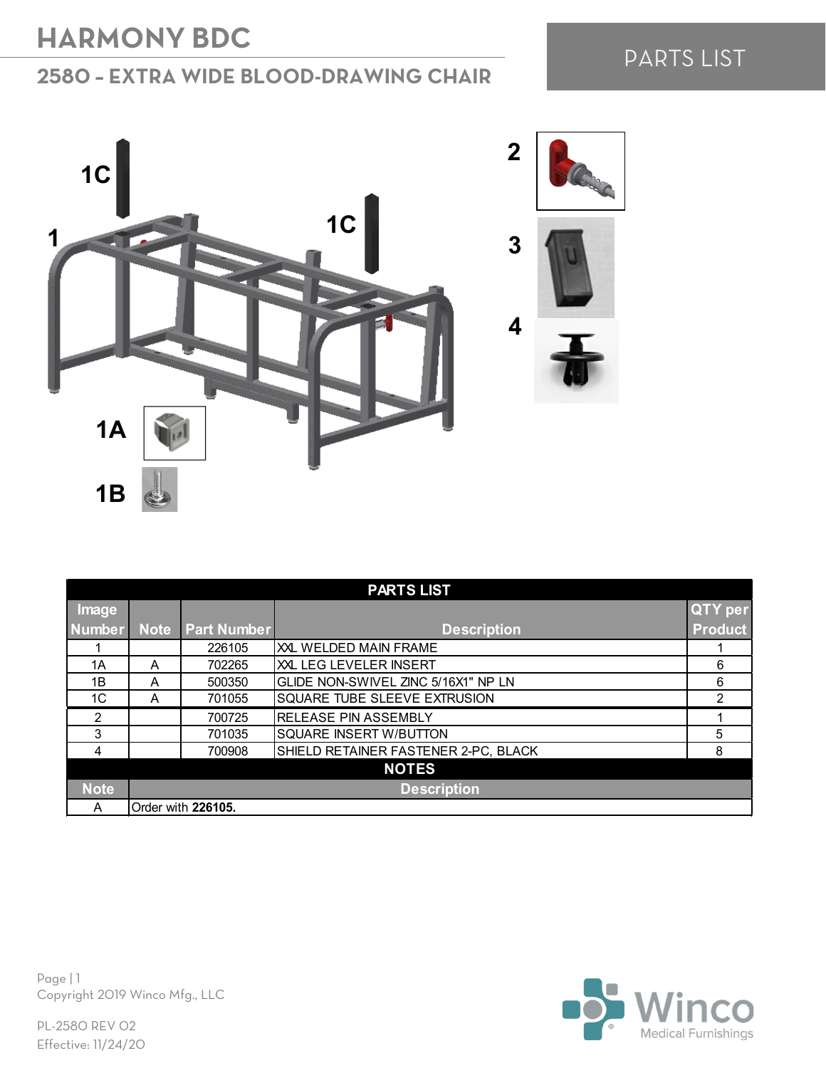### **2580 – EXTRA WIDE BLOOD-DRAWING CHAIR**

## PARTS LIST



| <b>PARTS LIST</b> |                    |                    |                                      |                |  |
|-------------------|--------------------|--------------------|--------------------------------------|----------------|--|
| Image             |                    |                    |                                      | <b>QTY</b> per |  |
| <b>Number</b>     | Note               | <b>Part Number</b> | <b>Description</b>                   | <b>Product</b> |  |
|                   |                    | 226105             | XXL WELDED MAIN FRAME                |                |  |
| 1A                | A                  | 702265             | XILLEG LEVELER INSERT                | 6              |  |
| 1B                | A                  | 500350             | GLIDE NON-SWIVEL ZINC 5/16X1" NP LN  | 6              |  |
| 1C                | A                  | 701055             | <b>SQUARE TUBE SLEEVE EXTRUSION</b>  | 2              |  |
| $\mathfrak{p}$    |                    | 700725             | RELEASE PIN ASSEMBLY                 |                |  |
| 3                 |                    | 701035             | <b>SQUARE INSERT W/BUTTON</b>        | 5              |  |
| 4                 |                    | 700908             | SHIELD RETAINER FASTENER 2-PC, BLACK | 8              |  |
| <b>NOTES</b>      |                    |                    |                                      |                |  |
| <b>Note</b>       | <b>Description</b> |                    |                                      |                |  |
| A                 |                    | Order with 226105. |                                      |                |  |

Page | 1 Copyright 2019 Winco Mfg., LLC

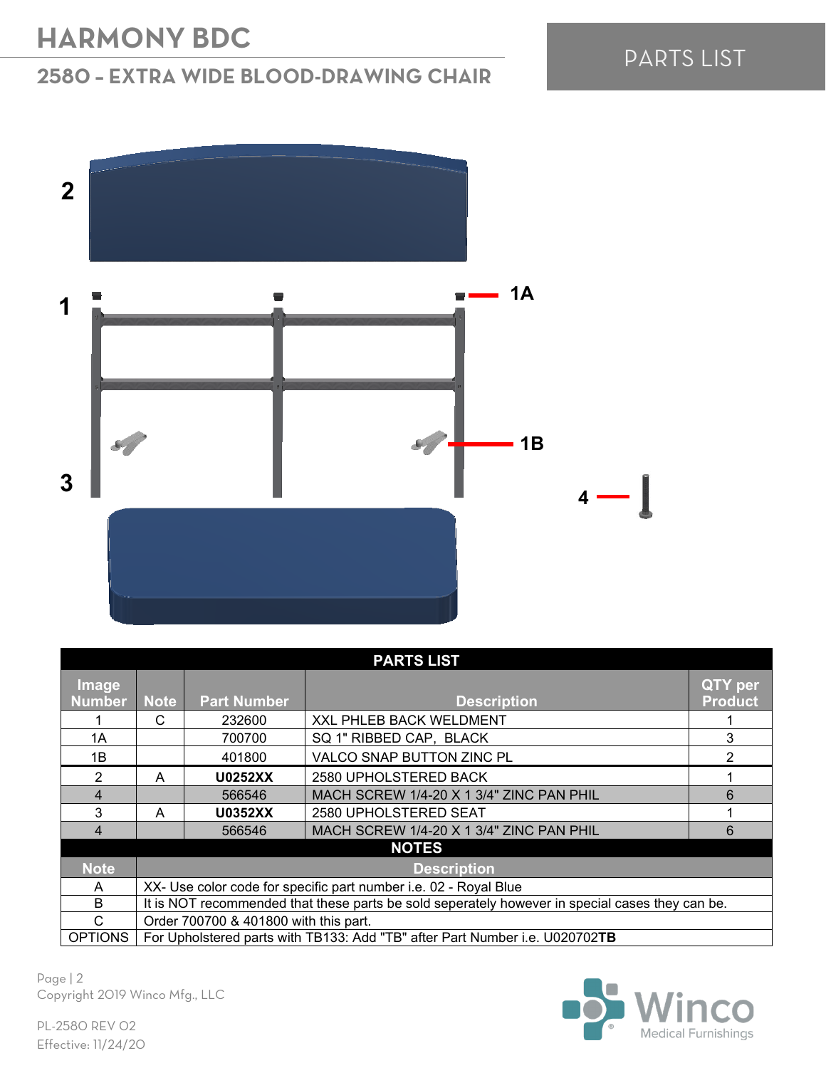### **2580 – EXTRA WIDE BLOOD-DRAWING CHAIR**





| <b>PARTS LIST</b>      |                                                                                                 |                    |                                          |                           |  |  |
|------------------------|-------------------------------------------------------------------------------------------------|--------------------|------------------------------------------|---------------------------|--|--|
| Image<br><b>Number</b> | <b>Note</b>                                                                                     | <b>Part Number</b> | <b>Description</b>                       | QTY per<br><b>Product</b> |  |  |
|                        | C                                                                                               | 232600             | XXL PHLEB BACK WELDMENT                  |                           |  |  |
| 1A                     |                                                                                                 | 700700             | SQ 1" RIBBED CAP, BLACK                  | 3                         |  |  |
| 1B                     |                                                                                                 | 401800             | VALCO SNAP BUTTON ZINC PL                | 2                         |  |  |
| 2                      | A                                                                                               | <b>U0252XX</b>     | 2580 UPHOLSTERED BACK                    |                           |  |  |
| 4                      |                                                                                                 | 566546             | MACH SCREW 1/4-20 X 1 3/4" ZINC PAN PHIL | 6                         |  |  |
| 3                      | A                                                                                               | <b>U0352XX</b>     | 2580 UPHOLSTERED SEAT                    |                           |  |  |
| 4                      |                                                                                                 | 566546             | MACH SCREW 1/4-20 X 1 3/4" ZINC PAN PHIL | 6                         |  |  |
| <b>NOTES</b>           |                                                                                                 |                    |                                          |                           |  |  |
| <b>Note</b>            | <b>Description</b>                                                                              |                    |                                          |                           |  |  |
| A                      | XX- Use color code for specific part number i.e. 02 - Royal Blue                                |                    |                                          |                           |  |  |
| B                      | It is NOT recommended that these parts be sold seperately however in special cases they can be. |                    |                                          |                           |  |  |
| С                      | Order 700700 & 401800 with this part.                                                           |                    |                                          |                           |  |  |
| <b>OPTIONS</b>         | For Upholstered parts with TB133: Add "TB" after Part Number i.e. U020702TB                     |                    |                                          |                           |  |  |

Page | 2 Copyright 2019 Winco Mfg., LLC

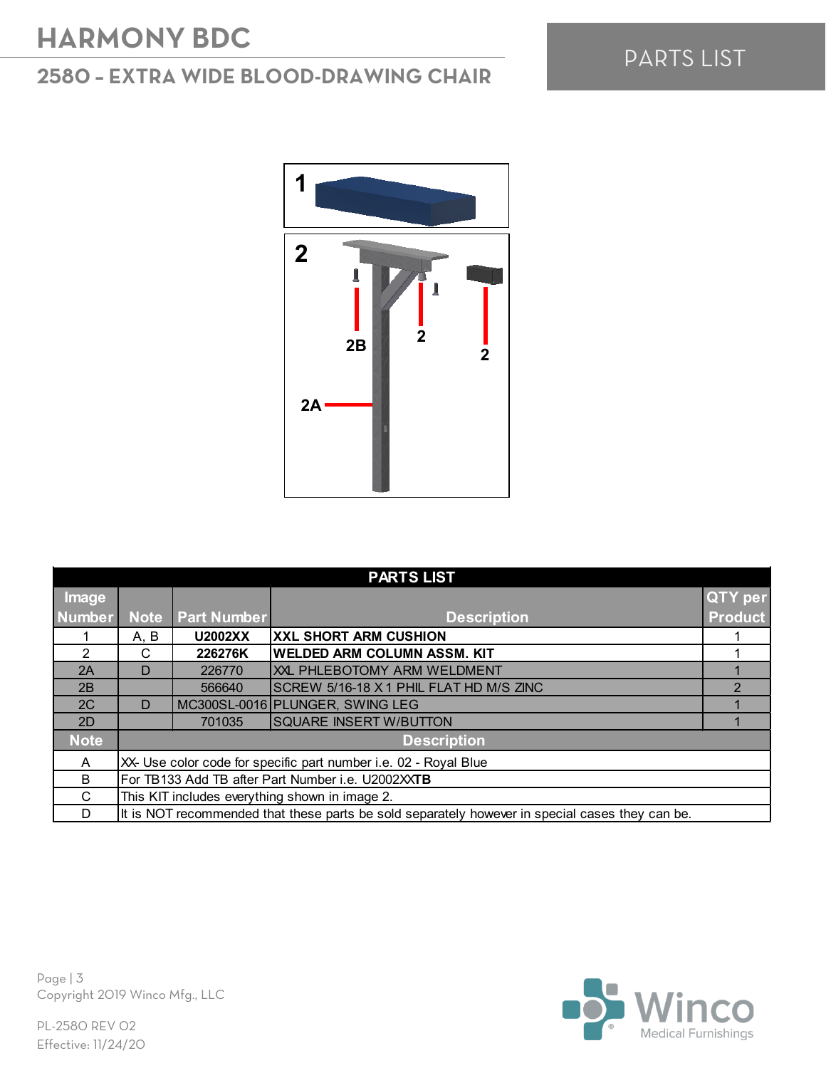### **2580 – EXTRA WIDE BLOOD-DRAWING CHAIR**



| <b>PARTS LIST</b> |                                                                                                 |                    |                                         |                |  |
|-------------------|-------------------------------------------------------------------------------------------------|--------------------|-----------------------------------------|----------------|--|
| Image             |                                                                                                 |                    |                                         | <b>QTY per</b> |  |
| <b>Number</b>     | <b>Note</b>                                                                                     | <b>Part Number</b> | <b>Description</b>                      | <b>Product</b> |  |
|                   | A, B                                                                                            | U2002XX            | <b>XXL SHORT ARM CUSHION</b>            |                |  |
| 2                 | С                                                                                               | 226276K            | <b>WELDED ARM COLUMN ASSM. KIT</b>      |                |  |
| 2A                | D                                                                                               | 226770             | XXL PHLEBOTOMY ARM WELDMENT             |                |  |
| 2B                |                                                                                                 | 566640             | SCREW 5/16-18 X 1 PHIL FLAT HD M/S ZINC | $\mathcal{P}$  |  |
| 2C                | D                                                                                               |                    | MC300SL-0016 PLUNGER, SWING LEG         |                |  |
| 2D                |                                                                                                 | 701035             | <b>SQUARE INSERT W/BUTTON</b>           |                |  |
| Note              | <b>Description</b>                                                                              |                    |                                         |                |  |
| A                 | XX- Use color code for specific part number i.e. 02 - Royal Blue                                |                    |                                         |                |  |
| B                 | For TB133 Add TB after Part Number i.e. U2002XXTB                                               |                    |                                         |                |  |
| C                 | This KIT includes everything shown in image 2.                                                  |                    |                                         |                |  |
| D                 | It is NOT recommended that these parts be sold separately however in special cases they can be. |                    |                                         |                |  |



Page | 3 Copyright 2019 Winco Mfg., LLC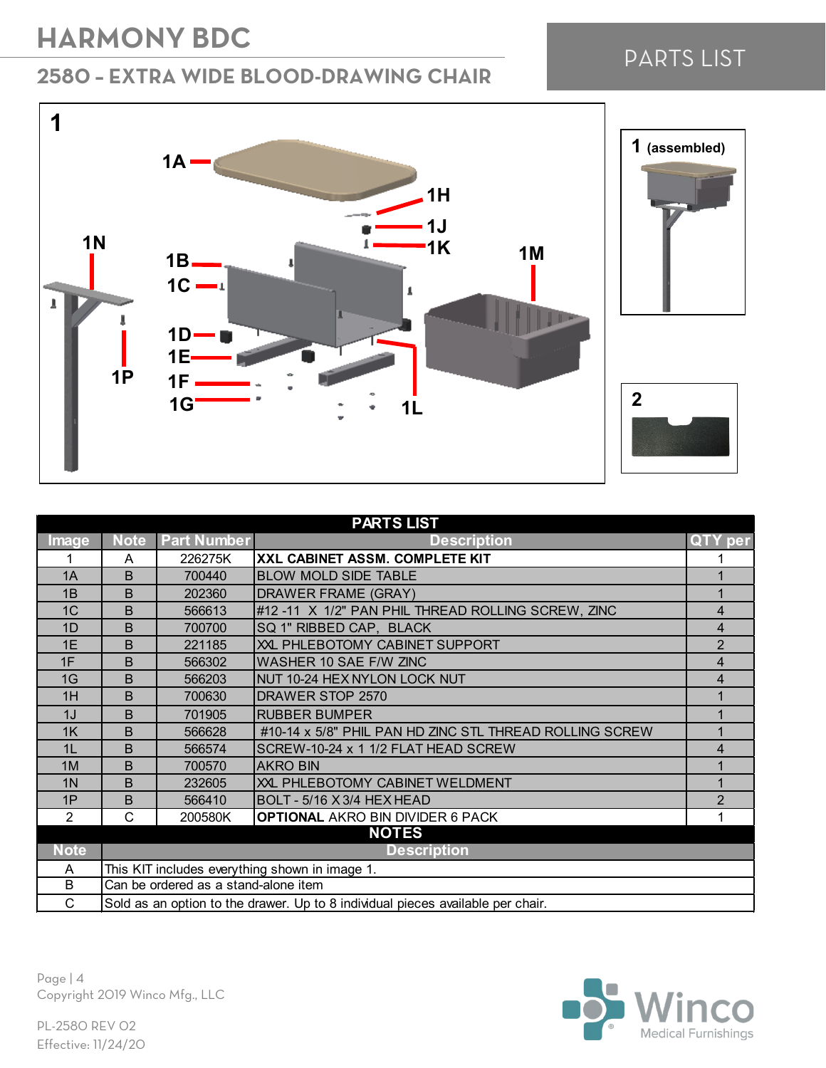**1A**

 $\overline{\phantom{a}}$ 

**1**

 $\overline{\phantom{a}}$ 

 $\pmb{\bot}$ 

I

#### **2580 – EXTRA WIDE BLOOD-DRAWING CHAIR**

#### **1J 1K 1M 1N 1B**  $1C - 1$ Á **1D 1E 1P1F 1G 1L**





| <b>PARTS LIST</b>                 |                                                                                 |                    |                                                         |                |  |
|-----------------------------------|---------------------------------------------------------------------------------|--------------------|---------------------------------------------------------|----------------|--|
| <b>Image</b>                      | <b>Note</b>                                                                     | <b>Part Number</b> | <b>Description</b>                                      | per            |  |
|                                   | A                                                                               | 226275K            | XXL CABINET ASSM. COMPLETE KIT                          |                |  |
| 1A                                | B                                                                               | 700440             | <b>BLOW MOLD SIDE TABLE</b>                             |                |  |
| 1B                                | B                                                                               | 202360             | DRAWER FRAME (GRAY)                                     |                |  |
| 1C                                | B                                                                               | 566613             | #12 -11 X 1/2" PAN PHIL THREAD ROLLING SCREW, ZINC      | 4              |  |
| 1D                                | B                                                                               | 700700             | SQ 1" RIBBED CAP, BLACK                                 | 4              |  |
| 1E                                | B                                                                               | 221185             | XXL PHLEBOTOMY CABINET SUPPORT                          | $\overline{2}$ |  |
| 1F                                | B                                                                               | 566302             | WASHER 10 SAE F/W ZINC                                  | $\overline{4}$ |  |
| 1G                                | B                                                                               | 566203             | NUT 10-24 HEX NYLON LOCK NUT                            | 4              |  |
| 1H                                | B                                                                               | 700630             | DRAWER STOP 2570                                        |                |  |
| 1J                                | B                                                                               | 701905             | <b>RUBBER BUMPER</b>                                    |                |  |
| 1K                                | B                                                                               | 566628             | #10-14 x 5/8" PHIL PAN HD ZINC STL THREAD ROLLING SCREW |                |  |
| 1L                                | B                                                                               | 566574             | SCREW-10-24 x 1 1/2 FLAT HEAD SCREW                     | 4              |  |
| 1M                                | B                                                                               | 700570             | <b>AKRO BIN</b>                                         |                |  |
| 1 <sub>N</sub>                    | B                                                                               | 232605             | XXL PHLEBOTOMY CABINET WELDMENT                         |                |  |
| 1P                                | B                                                                               | 566410             | BOLT - 5/16 X 3/4 HEX HEAD                              | $\overline{2}$ |  |
| 2                                 | C                                                                               | 200580K            | <b>OPTIONAL AKRO BIN DIVIDER 6 PACK</b>                 |                |  |
| <b>NOTES</b>                      |                                                                                 |                    |                                                         |                |  |
| <b>Note</b><br><b>Description</b> |                                                                                 |                    |                                                         |                |  |
| A                                 | This KIT includes everything shown in image 1.                                  |                    |                                                         |                |  |
| B                                 | Can be ordered as a stand-alone item                                            |                    |                                                         |                |  |
| $\mathsf{C}$                      | Sold as an option to the drawer. Up to 8 individual pieces available per chair. |                    |                                                         |                |  |

**1H**

Page | 4 Copyright 2019 Winco Mfg., LLC



PARTS LIST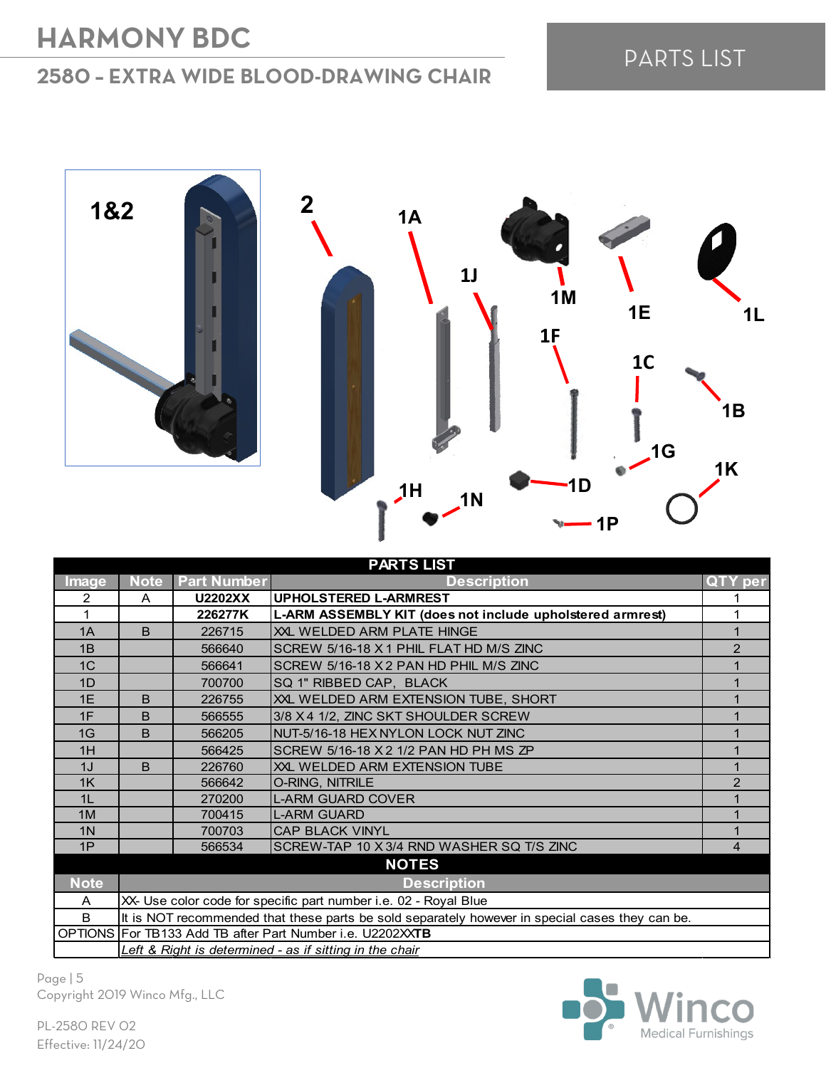#### **2580 – EXTRA WIDE BLOOD-DRAWING CHAIR**

## PARTS LIST



| <b>PARTS LIST</b> |                                                                                                 |                    |                                                           |               |  |
|-------------------|-------------------------------------------------------------------------------------------------|--------------------|-----------------------------------------------------------|---------------|--|
| <b>Image</b>      | <b>Note</b>                                                                                     | <b>Part Number</b> | <b>Description</b>                                        | QTY per       |  |
| 2                 | A                                                                                               | <b>U2202XX</b>     | <b>UPHOLSTERED L-ARMREST</b>                              |               |  |
| 1                 |                                                                                                 | 226277K            | L-ARM ASSEMBLY KIT (does not include upholstered armrest) |               |  |
| 1A                | <sub>B</sub>                                                                                    | 226715             | XXL WELDED ARM PLATE HINGE                                |               |  |
| 1B                |                                                                                                 | 566640             | SCREW 5/16-18 X 1 PHIL FLAT HD M/S ZINC                   | $\mathcal{P}$ |  |
| 1 <sup>C</sup>    |                                                                                                 | 566641             | SCREW 5/16-18 X 2 PAN HD PHIL M/S ZINC                    |               |  |
| 1D                |                                                                                                 | 700700             | SQ 1" RIBBED CAP, BLACK                                   |               |  |
| 1E                | <sub>B</sub>                                                                                    | 226755             | XXL WELDED ARM EXTENSION TUBE, SHORT                      |               |  |
| 1F                | B                                                                                               | 566555             | 3/8 X 4 1/2, ZINC SKT SHOULDER SCREW                      |               |  |
| 1G                | B                                                                                               | 566205             | NUT-5/16-18 HEX NYLON LOCK NUT ZINC                       |               |  |
| 1H                |                                                                                                 | 566425             | SCREW 5/16-18 X 2 1/2 PAN HD PH MS ZP                     |               |  |
| 1J                | <sub>B</sub>                                                                                    | 226760             | XXL WELDED ARM EXTENSION TUBE                             |               |  |
| 1K                |                                                                                                 | 566642             | O-RING, NITRILE                                           | 2             |  |
| 1L                |                                                                                                 | 270200             | <b>L-ARM GUARD COVER</b>                                  |               |  |
| 1M                |                                                                                                 | 700415             | <b>L-ARM GUARD</b>                                        |               |  |
| 1 <sub>N</sub>    |                                                                                                 | 700703             | <b>CAP BLACK VINYL</b>                                    |               |  |
| 1P                |                                                                                                 | 566534             | SCREW-TAP 10 X 3/4 RND WASHER SQ T/S ZINC                 | 4             |  |
| <b>NOTES</b>      |                                                                                                 |                    |                                                           |               |  |
| <b>Note</b>       |                                                                                                 |                    | <b>Description</b>                                        |               |  |
| A                 | XX- Use color code for specific part number i.e. 02 - Royal Blue                                |                    |                                                           |               |  |
| B                 | It is NOT recommended that these parts be sold separately however in special cases they can be. |                    |                                                           |               |  |
|                   | OPTIONS For TB133 Add TB after Part Number i.e. U2202XXTB                                       |                    |                                                           |               |  |
|                   | Left & Right is determined - as if sitting in the chair                                         |                    |                                                           |               |  |

Page | 5 Copyright 2019 Winco Mfg., LLC

**Medical Furnishings**